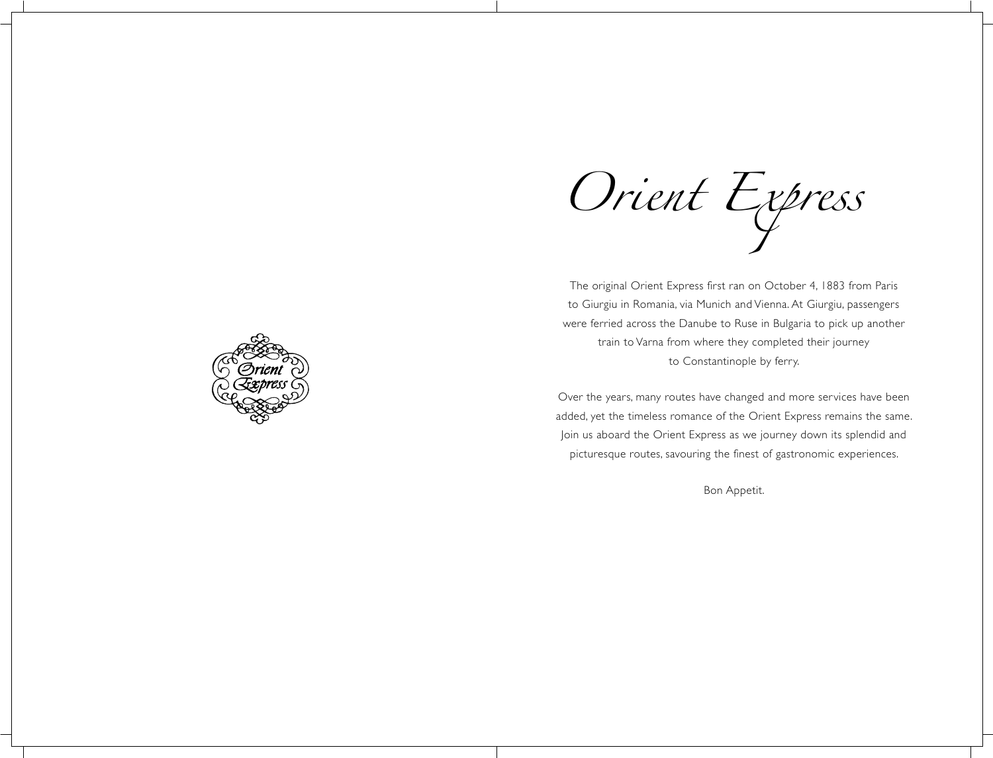Orient Express

The original Orient Express first ran on October 4, 1883 from Paris to Giurgiu in Romania, via Munich and Vienna. At Giurgiu, passengers were ferried across the Danube to Ruse in Bulgaria to pick up another train to Varna from where they completed their journey to Constantinople by ferry.

Over the years, many routes have changed and more services have been added, yet the timeless romance of the Orient Express remains the same. Join us aboard the Orient Express as we journey down its splendid and picturesque routes, savouring the finest of gastronomic experiences.

Bon Appetit.

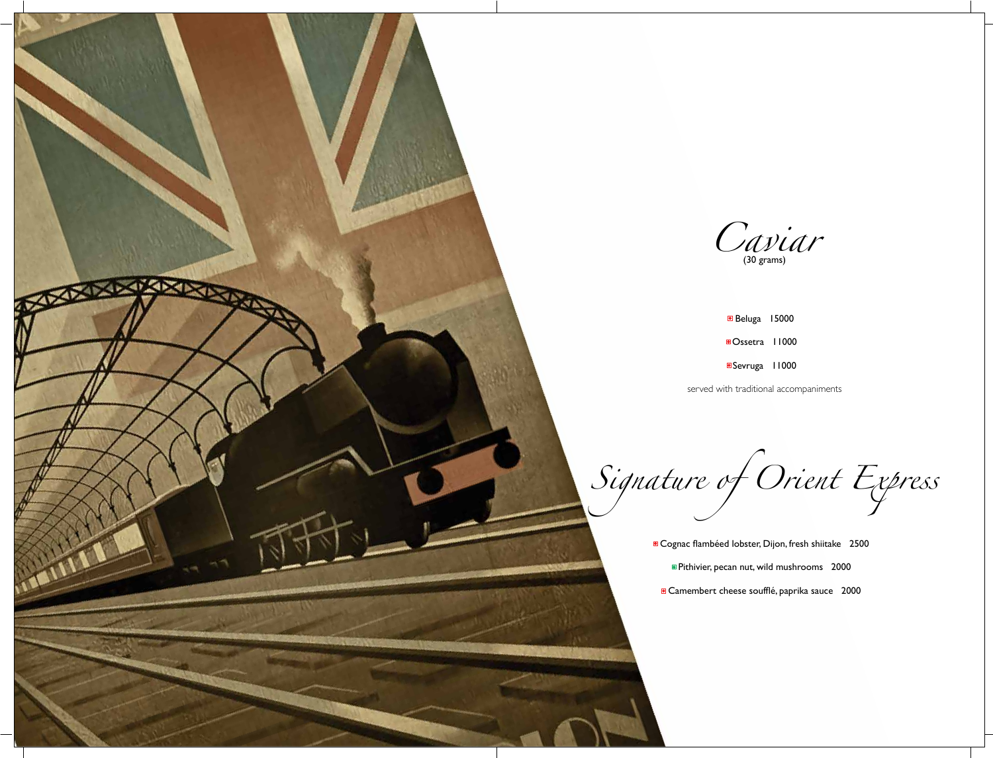

*Cavidat* 

- Beluga 15000 Ossetra 11000
- ■Sevruga 11000

served with traditional accompaniments

*Signature of Orient Express*

**a** Cognac flambéed lobster, Dijon, fresh shiitake 2500 Pithivier, pecan nut, wild mushrooms 2000 **Camembert cheese soufflé, paprika sauce** 2000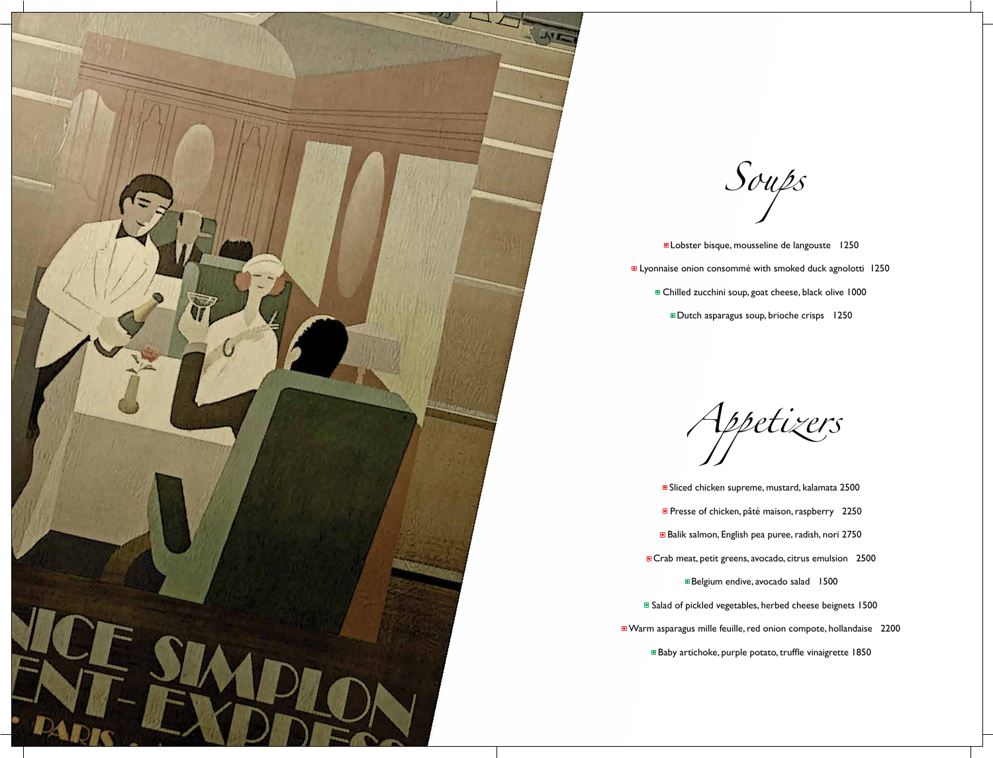

**D** Lobster bisque, mousseline de langouste 1250 **E** Lyonnaise onion consommé with smoked duck agnolotti 1250 ■ Chilled zucchini soup, goat cheese, black olive 1000 Dutch asparagus soup, brioche crisps 1250

*Soups*

■ Sliced chicken supreme, mustard, kalamata 2500 **P** Presse of chicken, pâté maison, raspberry 2250 ■Belgium endive, avocado salad 1500

*Appetizers*

Balik salmon, English pea puree, radish, nori 2750 Baby artichoke, purple potato, truffle vinaigrette 1850

**a** Crab meat, petit greens, avocado, citrus emulsion 2500 ■ Salad of pickled vegetables, herbed cheese beignets 1500

Warm asparagus mille feuille, red onion compote, hollandaise 2200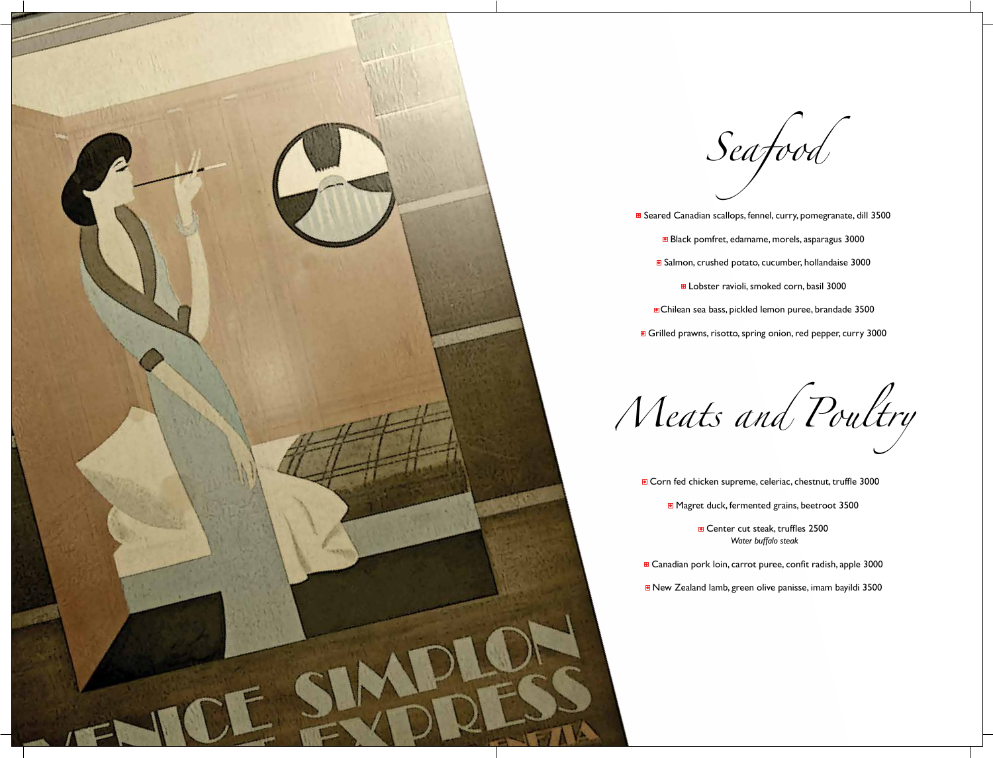*Seafood*

■ Seared Canadian scallops, fennel, curry, pomegranate, dill 3500 Black pomfret, edamame, morels, asparagus 3000 ■ Salmon, crushed potato, cucumber, hollandaise 3000 **D** Lobster ravioli, smoked corn, basil 3000 Chilean sea bass, pickled lemon puree, brandade 3500 Grilled prawns, risotto, spring onion, red pepper, curry 3000

**Corn fed chicken supreme, celeriac, chestnut, truffle 3000** 

■ Magret duck, fermented grains, beetroot 3500

**Center cut steak, truffles 2500** *Water buffalo steak*

■ Canadian pork loin, carrot puree, confit radish, apple 3000

■ New Zealand lamb, green olive panisse, imam bayildi 3500





- -
	- -
	-
- 

*Meats and Poultry*

- - -
- 
-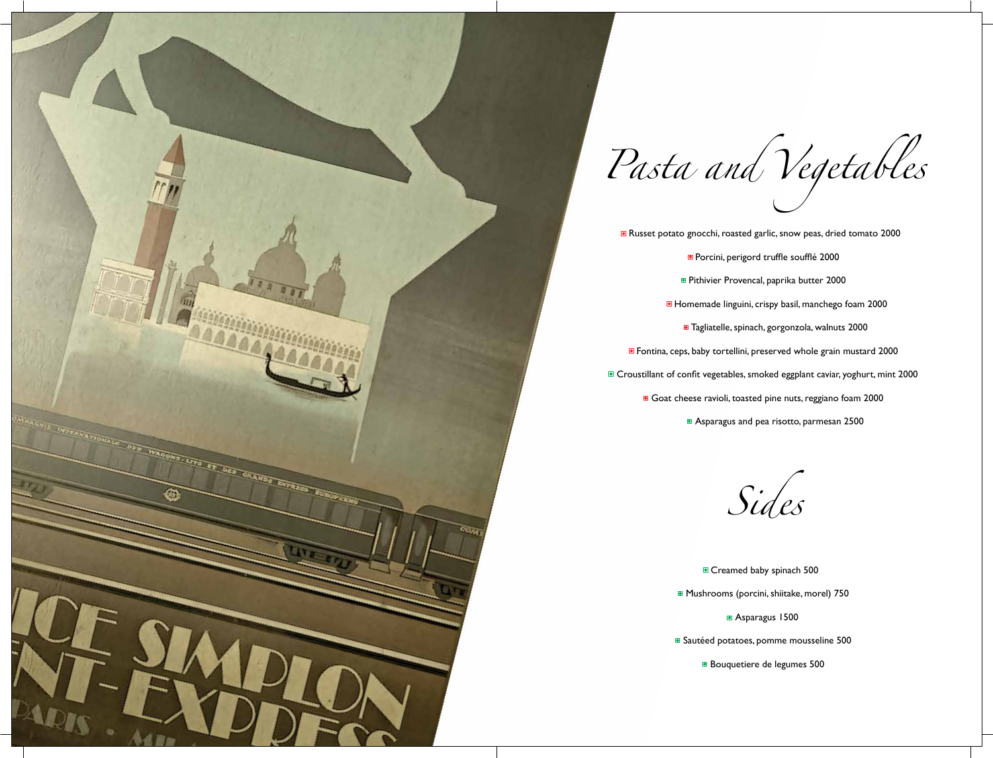

*Pasta and Vegetables*

- -
	-
	- -
- 
- - -

- 
- -
- -

■ Russet potato gnocchi, roasted garlic, snow peas, dried tomato 2000 **Porcini, perigord truffle soufflé 2000 Pithivier Provencal, paprika butter 2000 Homemade linguini, crispy basil, manchego foam 2000** ■ Tagliatelle, spinach, gorgonzola, walnuts 2000 ■ Fontina, ceps, baby tortellini, preserved whole grain mustard 2000 ■ Croustillant of confit vegetables, smoked eggplant caviar, yoghurt, mint 2000 Goat cheese ravioli, toasted pine nuts, reggiano foam 2000 Asparagus and pea risotto, parmesan 2500

*Sides*

Creamed baby spinach 500 **Mushrooms (porcini, shiitake, morel) 750 Asparagus 1500 Sautéed potatoes, pomme mousseline 500 Bouquetiere de legumes 500**